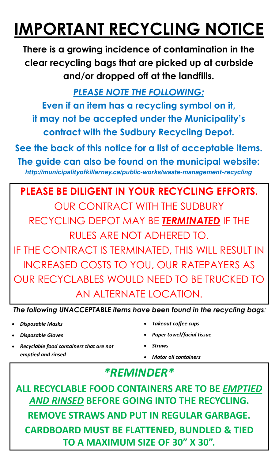## **IMPORTANT RECYCLING NOTICE**

**There is a growing incidence of contamination in the clear recycling bags that are picked up at curbside and/or dropped off at the landfills.** 

*PLEASE NOTE THE FOLLOWING:*

**Even if an item has a recycling symbol on it, it may not be accepted under the Municipality's contract with the Sudbury Recycling Depot.** 

**See the back of this notice for a list of acceptable items. The guide can also be found on the municipal website:**  *http://municipalityofkillarney.ca/public-works/waste-management-recycling*

**PLEASE BE DILIGENT IN YOUR RECYCLING EFFORTS.** OUR CONTRACT WITH THE SUDBURY RECYCLING DEPOT MAY BE *TERMINATED* IF THE RULES ARE NOT ADHERED TO. IF THE CONTRACT IS TERMINATED, THIS WILL RESULT IN INCREASED COSTS TO YOU, OUR RATEPAYERS AS OUR RECYCLABLES WOULD NEED TO BE TRUCKED TO AN ALTERNATE LOCATION.

*The following UNACCEPTABLE items have been found in the recycling bags:* 

- *Disposable Masks*
- *Disposable Gloves*
- *Recyclable food containers that are not emptied and rinsed*
- *Takeout coffee cups*
- *Paper towel/facial tissue*
- *Straws*
- *Motor oil containers*

## *\*REMINDER\**

**ALL RECYCLABLE FOOD CONTAINERS ARE TO BE** *EMPTIED AND RINSED* **BEFORE GOING INTO THE RECYCLING. REMOVE STRAWS AND PUT IN REGULAR GARBAGE. CARDBOARD MUST BE FLATTENED, BUNDLED & TIED TO A MAXIMUM SIZE OF 30" X 30".**